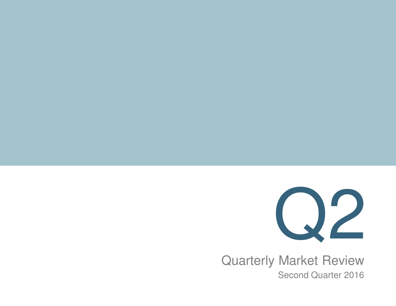

 Second Quarter 2016Quarterly Market Review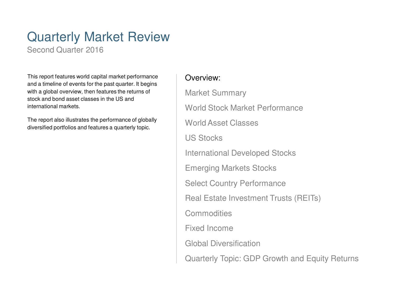### Quarterly Market Review

Second Quarter 2016

This report features world capital market performance and a timeline of events for the past quarter. It begins with a global overview, then features the returns of stock and bond asset classes in the US and international markets.

The report also illustrates the performance of globally diversified portfolios and features a quarterly topic.

### Overview:

Market SummaryWorld Stock Market PerformanceWorld Asset ClassesUS StocksInternational Developed StocksEmerging Markets StocksSelect Country PerformanceReal Estate Investment Trusts (REITs)**Commodities** Fixed Income Global DiversificationQuarterly Topic: GDP Growth and Equity Returns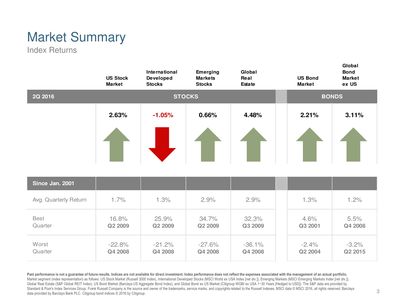# Market Summary

Index Returns

|                        | <b>US Stock</b><br><b>Market</b> | International<br>Developed<br><b>Stocks</b> | <b>Emerging</b><br><b>Markets</b><br><b>Stocks</b> | Global<br>Real<br><b>Estate</b> | <b>US Bond</b><br><b>Market</b> | Global<br><b>Bond</b><br><b>Market</b><br>ex US |
|------------------------|----------------------------------|---------------------------------------------|----------------------------------------------------|---------------------------------|---------------------------------|-------------------------------------------------|
| 2Q 2016                |                                  | <b>STOCKS</b>                               |                                                    | <b>BONDS</b>                    |                                 |                                                 |
|                        | 2.63%                            | $-1.05%$                                    | 0.66%                                              | 4.48%                           | 2.21%                           | 3.11%                                           |
| Since Jan. 2001        |                                  |                                             |                                                    |                                 |                                 |                                                 |
| Avg. Quarterly Return  | 1.7%                             | 1.3%                                        | 2.9%                                               | 2.9%                            | 1.3%                            | 1.2%                                            |
| <b>Best</b><br>Quarter | 16.8%<br>Q2 2009                 | 25.9%<br>Q2 2009                            | 34.7%<br>Q2 2009                                   | 32.3%<br>Q3 2009                | 4.6%<br>Q3 2001                 | 5.5%<br>Q4 2008                                 |
| Worst<br>Quarter       | $-22.8%$<br>Q4 2008              | $-21.2%$<br>Q4 2008                         | $-27.6%$<br>Q4 2008                                | $-36.1%$<br>Q4 2008             | $-2.4%$<br>Q2 2004              | $-3.2%$<br>Q2 2015                              |

Past performance is not a guarantee of future results. Indices are not available for direct investment. Index performance does not reflect the expenses associated with the management of an actual portfolio. Market segment (index representation) as follows: US Stock Market (Russell 3000 Index), International Developed Stocks (MSCI World ex USA Index [net div.]), Emerging Markets (MSCI Emerging Markets Index [net div.]), Global Real Estate (S&P Global REIT Index), US Bond Market (Barclays US Aggregate Bond Index), and Global Bond ex US Market (Citigroup WGBI ex USA 1-30 Years [Hedged to USD]). The S&P data are provided by Standard & Poor's Index Services Group. Frank Russell Company is the source and owner of the trademarks, service marks, and copyrights related to the Russell Indexes. MSCI data © MSCI 2016, all rights reserved. Barclays data provided by Barclays Bank PLC. Citigroup bond indices © 2016 by Citigroup.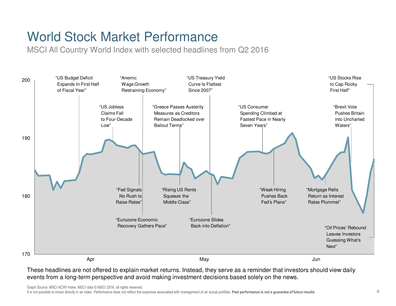## World Stock Market Performance

MSCI All Country World Index with selected headlines from Q2 2016



Graph Source: MSCI ACWI Index. MSCI data © MSCI 2016, all rights reserved.

It is not possible to invest directly in an index. Performance does not reflect the expenses associated with management of an actual portfolio. Past performance is not a quarantee of future results.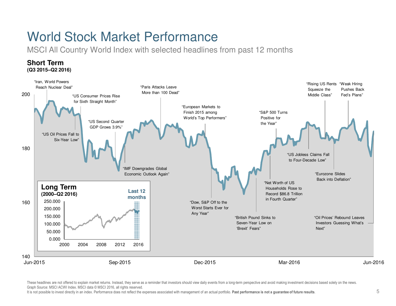### World Stock Market Performance

MSCI All Country World Index with selected headlines from past 12 months



These headlines are not offered to explain market returns. Instead, they serve as a reminder that investors should view daily events from a long-term perspective and avoid making investment decisions based solely on the ne Graph Source: MSCI ACWI Index. MSCI data © MSCI 2016, all rights reserved.

It is not possible to invest directly in an index. Performance does not reflect the expenses associated with management of an actual portfolio. Past performance is not a quarantee of future results.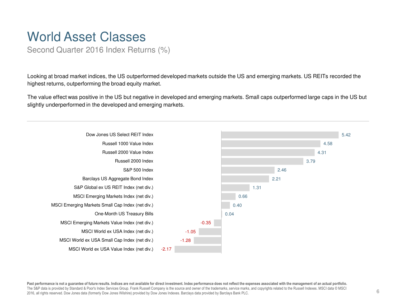### World Asset Classes

Second Quarter 2016 Index Returns (%)

Looking at broad market indices, the US outperformed developed markets outside the US and emerging markets. US REITs recorded the highest returns, outperforming the broad equity market.

The value effect was positive in the US but negative in developed and emerging markets. Small caps outperformed large caps in the US but slightly underperformed in the developed and emerging markets.



Past performance is not a guarantee of future results. Indices are not available for direct investment. Index performance does not reflect the expenses associated with the management of an actual portfolio. The S&P data is provided by Standard & Poor's Index Services Group. Frank Russell Company is the source and owner of the trademarks, service marks, and copyrights related to the Russell Indexes. MSCI data © MSCI 2016, all rights reserved. Dow Jones data (formerly Dow Jones Wilshire) provided by Dow Jones Indexes. Barclays data provided by Barclays Bank PLC.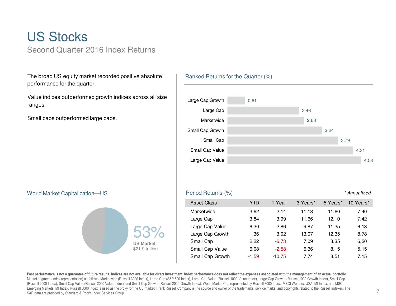### US StocksSecond Quarter 2016 Index Returns

The broad US equity market recorded positive absolute performance for the quarter.

Value indices outperformed growth indices across all size ranges.

Small caps outperformed large caps.

#### Ranked Returns for the Quarter (%)



#### World Market Capitalization—US



#### S **S Example 2018 Period Returns (%) Example 2018 Example 2018 Example 2018 Example 2019 Example 2019 Example 2019 Example 2019 Example 2019 Example 2019 Example 2019 EXAMPLE 2019 EXAMPLE 2019** Asset Class TTD 1 Year 3 Years\* 5 Years\* 10 Years\* Marketwide 3.62 2.14 11.13 11.60 7.407.42 Large Cap 3.84 3.99 11.66 12.10 Large Cap Value 6.30 2.86 9.87 11.35 6.138.78 Large Cap Growth 1.36 3.02 13.07 12.35 Small Cap 2.22 -6.73 7.09 8.35 6.20 Small Cap Value 6.08 -2.58 6.36 8.15 5.15 Small Cap Growth -1.59 -10.757.74 8.51 7.15

Past performance is not a guarantee of future results. Indices are not available for direct investment. Index performance does not reflect the expenses associated with the management of an actual portfolio.<br>Market segment (Russell 2000 Index), Small Cap Value (Russell 2000 Value Index), and Small Cap Growth (Russell 2000 Growth Index). World Market Cap represented by Russell 3000 Index, MSCI World ex USA IMI Index, and MSCI Emerging Markets IMI Index. Russell 3000 Index is used as the proxy for the US market. Frank Russell Company is the source and owner of the trademarks, service marks, and copyrights related to the Russell Indexes. The S&P data are provided by Standard & Poor's Index Services Group.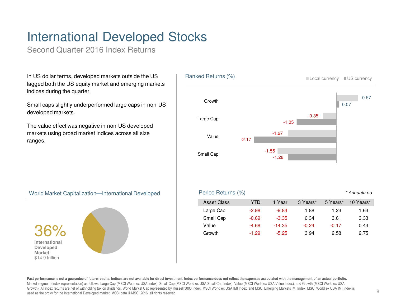# International Developed Stocks

Second Quarter 2016 Index Returns

In US dollar terms, developed markets outside the US lagged both the US equity market and emerging markets indices during the quarter.

Small caps slightly underperformed large caps in non-US developed markets.

The value effect was negative in non-US developed markets using broad market indices across all size ranges.



#### World Market Capitalization—International Developed



**Past performance is not a guarantee of future results. Indices are not available for direct investment. Index performance does not reflect the expenses associated with the management of an actual portfolio.**Market segment (index representation) as follows: Large Cap (MSCI World ex USA Index), Small Cap (MSCI World ex USA Small Cap Index), Value (MSCI World ex USA Value Index), and Growth (MSCI World ex USA Growth). All index returns are net of withholding tax on dividends. World Market Cap represented by Russell 3000 Index, MSCI World ex USA IMI Index, and MSCI Emerging Markets IMI Index. MSCI World ex USA IMI Index is used as the proxy for the International Developed market. MSCI data © MSCI 2016, all rights reserved.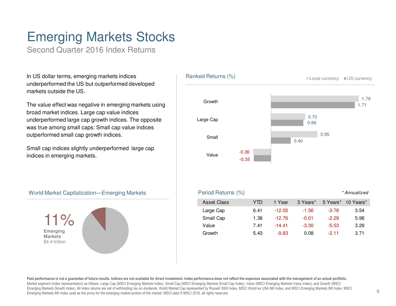## Emerging Markets Stocks

Second Quarter 2016 Index Returns

In US dollar terms, emerging markets indices underperformed the US but outperformed developed markets outside the US.

The value effect was negative in emerging markets using broad market indices. Large cap value indices underperformed large cap growth indices. The opposite was true among small caps: Small cap value indices outperformed small cap growth indices.

Small cap indices slightly underperformed large cap indices in emerging markets.



#### World Market Capitalization—Emerging Markets



**Past performance is not a guarantee of future results. Indices are not available for direct investment. Index performance does not reflect the expenses associated with the management of an actual portfolio.**Market segment (index representation) as follows: Large Cap (MSCI Emerging Markets Index), Small Cap (MSCI Emerging Markets Small Cap Index), Value (MSCI Emerging Markets Value Index), and Growth (MSCI Emerging Markets Growth Index). All index returns are net of withholding tax on dividends. World Market Cap represented by Russell 3000 Index, MSCI World ex USA IMI Index, and MSCI Emerging Markets IMI Index. MSCI Emerging Markets IMI Index used as the proxy for the emerging market portion of the market. MSCI data © MSCI 2016, all rights reserved.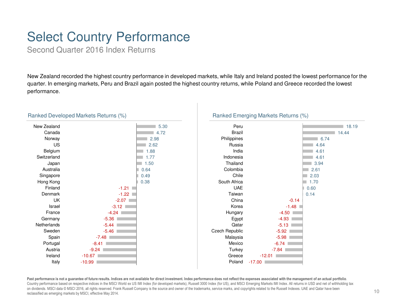# Select Country Performance

Second Quarter 2016 Index Returns

New Zealand recorded the highest country performance in developed markets, while Italy and Ireland posted the lowest performance for the quarter. In emerging markets, Peru and Brazil again posted the highest country returns, while Poland and Greece recorded the lowest performance.



#### Ranked Developed Markets Returns (%)





Past performance is not a guarantee of future results. Indices are not available for direct investment. Index performance does not reflect the expenses associated with the management of an actual portfolio.<br>Country perform on dividends. MSCI data © MSCI 2016, all rights reserved. Frank Russell Company is the source and owner of the trademarks, service marks, and copyrights related to the Russell Indexes. UAE and Qatar have been reclassified as emerging markets by MSCI, effective May 2014.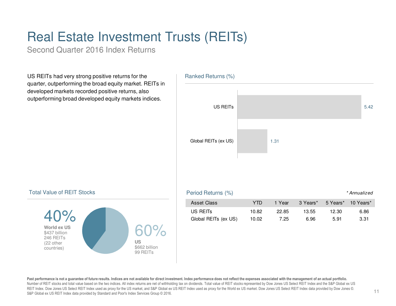# Real Estate Investment Trusts (REITs)

Second Quarter 2016 Index Returns

US REITs had very strong positive returns for the quarter, outperforming the broad equity market. REITs in developed markets recorded positive returns, also outperforming broad developed equity markets indices.





#### Total Value of REIT Stocks



Past performance is not a guarantee of future results. Indices are not available for direct investment. Index performance does not reflect the expenses associated with the management of an actual portfolio. Number of REIT stocks and total value based on the two indices. All index returns are net of withholding tax on dividends. Total value of REIT stocks represented by Dow Jones US Select REIT Index and the S&P Global ex US REIT Index. Dow Jones US Select REIT Index used as proxy for the US market, and S&P Global ex US REIT Index used as proxy for the World ex US market. Dow Jones US Select REIT Index data provided by Dow Jones ©. S&P Global ex US REIT Index data provided by Standard and Poor's Index Services Group © 2016.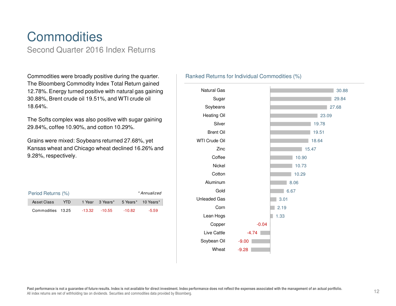### **Commodities** Second Quarter 2016 Index Returns

Commodities were broadly positive during the quarter. The Bloomberg Commodity Index Total Return gained 12.78%. Energy turned positive with natural gas gaining30.88%, Brent crude oil 19.51%, and WTI crude oil 18.64%.

The Softs complex was also positive with sugar gaining 29.84%, coffee 10.90%, and cotton 10.29%.

Grains were mixed: Soybeans returned 27.68%, yet Kansas wheat and Chicago wheat declined 16.26% and 9.28%, respectively.

| Period Returns (%) |      |  |                  |          | * Annualized       |
|--------------------|------|--|------------------|----------|--------------------|
| Asset Class        | YTD. |  | 1 Year 3 Years*  |          | 5 Years* 10 Years* |
| Commodities 13.25  |      |  | $-13.32 - 10.55$ | $-10.82$ | $-5.59$            |

### Ranked Returns for Individual Commodities (%)

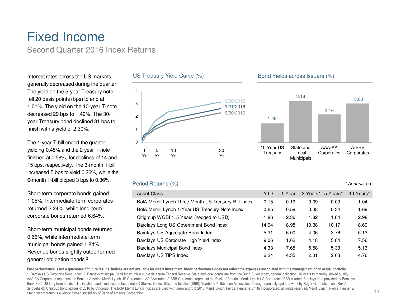### Fixed IncomeSecond Quarter 2016 Index Returns

Interest rates across the US markets generally decreased during the quarter. The yield on the 5-year Treasury note fell 20 basis points (bps) to end at 1.01%. The yield on the 10-year T-note decreased 29 bps to 1.49%. The 30year Treasury bond declined 31 bps to finish with a yield of 2.30%.

The 1-year T-bill ended the quarter yielding 0.45% and the 2-year T-note finished at 0.58%, for declines of 14 and 15 bps, respectively. The 3-month T-bill increased 5 bps to yield 0.26%, while the 6-month T-bill dipped 3 bps to 0.36%.

Short-term corporate bonds gained 1.05%. Intermediate-term corporates returned 2.24%, while long-term corporate bonds returned 6.64%.<sup>1</sup>

Short-term municipal bonds returned 0.66%, while intermediate-term municipal bonds gained 1.84%. Revenue bonds slightly outperformed general obligation bonds.<sup>2</sup>





3.18

Bond Yields across Issuers (%)

### Period Returns (%)

| Asset Class                                           | <b>YTD</b> | 1 Year | 3 Years* | 5 Years* | 10 Years* |
|-------------------------------------------------------|------------|--------|----------|----------|-----------|
| BofA Merrill Lynch Three-Month US Treasury Bill Index | 0.15       | 0.19   | 0.09     | 0.09     | 1.04      |
| BofA Merrill Lynch 1-Year US Treasury Note Index      | 0.65       | 0.59   | 0.38     | 0.34     | 1.69      |
| Citigroup WGBI 1–5 Years (hedged to USD)              | 1.86       | 2.36   | 1.82     | 1.84     | 2.98      |
| Barclays Long US Government Bond Index                | 14.94      | 18.98  | 10.38    | 10.17    | 8.69      |
| Barclays US Aggregate Bond Index                      | 5.31       | 6.00   | 4.06     | 3.76     | 5.13      |
| Barclays US Corporate High Yield Index                | 9.06       | 1.62   | 4.18     | 5.84     | 7.56      |
| <b>Barclays Municipal Bond Index</b>                  | 4.33       | 7.65   | 5.58     | 5.33     | 5.13      |
| Barclays US TIPS Index                                | 6.24       | 4.35   | 2.31     | 2.63     | 4.76      |

Past performance is not a guarantee of future results. Indices are not available for direct investment. Index performance does not reflect the expenses associated with the management of an actual portfolio. 1. Barclays US Corporate Bond Index. 2. Barclays Municipal Bond Index. Yield curve data from Federal Reserve. State and local bonds are from the Bond Buyer Index, general obligation, 20 years to maturity, mixed quality. AAA-AA Corporates represent the Bank of America Merrill Lynch US Corporates, AA-AAA rated. A-BBB Corporates represent the Bank of America Merrill Lynch US Corporates, BBB-A rated. Barclays data provided by Barclays Bank PLC. US long-term bonds, bills, inflation, and fixed income factor data © Stocks, Bonds, Bills, and Inflation (SBBI) Yearbook™, Ibbotson Associates, Chicago (annually updated work by Roger G. Ibbotson and Rex A. Sinquefield). Citigroup bond indices © 2016 by Citigroup. The BofA Merrill Lynch Indices are used with permission; © 2016 Merrill Lynch, Pierce, Fenner & Smith Incorporated; all rights reserved. Merrill Lynch, Pierce, Fenn Smith Incorporated is a wholly owned subsidiary of Bank of America Corporation.

3.00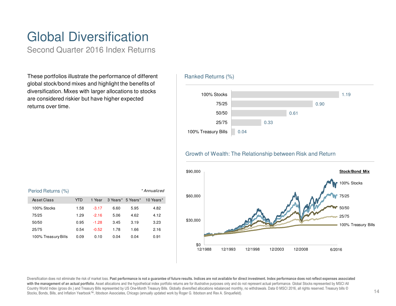# Global Diversification

Second Quarter 2016 Index Returns

These portfolios illustrate the performance of different global stock/bond mixes and highlight the benefits of diversification. Mixes with larger allocations to stocks are considered riskier but have higher expected returns over time.

#### Ranked Returns (%)



#### Growth of Wealth: The Relationship between Risk and Return





Diversification does not eliminate the risk of market loss. Past performance is not a guarantee of future results. Indices are not available for direct investment. Index performance does not reflect expenses associated with the management of an actual portfolio. Asset allocations and the hypothetical index portfolio returns are for illustrative purposes only and do not represent actual performance. Global Stocks represented by MSCI All Country World Index (gross div.) and Treasury Bills represented by US One-Month Treasury Bills. Globally diversified allocations rebalanced monthly, no withdrawals. Data © MSCI 2016, all rights reserved. Treasury bills © Stocks, Bonds, Bills, and Inflation Yearbook™, Ibbotson Associates, Chicago (annually updated work by Roger G. Ibbotson and Rex A. Sinquefield).